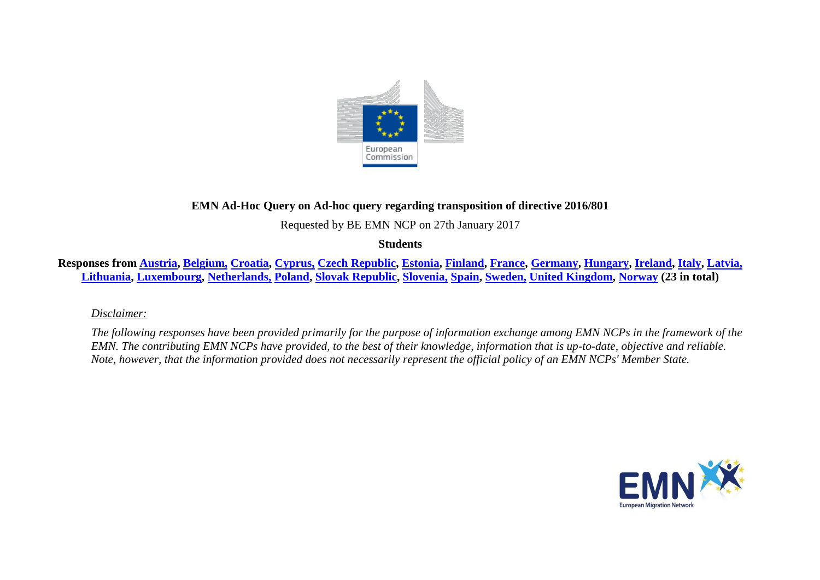

## **EMN Ad-Hoc Query on Ad-hoc query regarding transposition of directive 2016/801**

Requested by BE EMN NCP on 27th January 2017

**Students**

Responses from [Austria,](#page-2-0) [Belgium,](#page-2-1) [Croatia,](#page-2-2) [Cyprus,](#page-3-0) [Czech Republic,](#page-3-1) [Estonia,](#page-5-0) [Finland,](#page-5-1) [France,](#page-6-0) [Germany,](#page-6-1) [Hungary,](#page-7-0) [Ireland,](#page-8-0) [Italy,](#page-9-0) [Latvia,](#page-9-1) **[Lithuania,](#page-9-2) [Luxembourg,](#page-10-0) [Netherlands,](#page-11-0) [Poland,](#page-12-0) [Slovak Republic,](#page-14-0) [Slovenia,](#page-14-1) [Spain,](#page-14-2) [Sweden,](#page-15-0) [United Kingdom,](#page-15-1) [Norway](#page-16-0) (23 in total)**

*Disclaimer:* 

*The following responses have been provided primarily for the purpose of information exchange among EMN NCPs in the framework of the EMN. The contributing EMN NCPs have provided, to the best of their knowledge, information that is up-to-date, objective and reliable. Note, however, that the information provided does not necessarily represent the official policy of an EMN NCPs' Member State.*

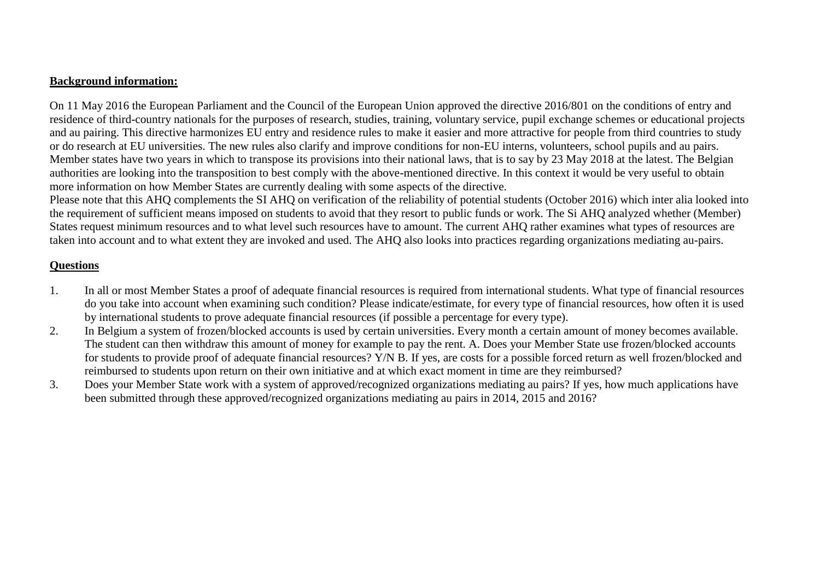## **Background information:**

On 11 May 2016 the European Parliament and the Council of the European Union approved the directive 2016/801 on the conditions of entry and residence of third-country nationals for the purposes of research, studies, training, voluntary service, pupil exchange schemes or educational projects and au pairing. This directive harmonizes EU entry and residence rules to make it easier and more attractive for people from third countries to study or do research at EU universities. The new rules also clarify and improve conditions for non-EU interns, volunteers, school pupils and au pairs. Member states have two years in which to transpose its provisions into their national laws, that is to say by 23 May 2018 at the latest. The Belgian authorities are looking into the transposition to best comply with the above-mentioned directive. In this context it would be very useful to obtain more information on how Member States are currently dealing with some aspects of the directive.

Please note that this AHQ complements the SI AHQ on verification of the reliability of potential students (October 2016) which inter alia looked into the requirement of sufficient means imposed on students to avoid that they resort to public funds or work. The Si AHQ analyzed whether (Member) States request minimum resources and to what level such resources have to amount. The current AHQ rather examines what types of resources are taken into account and to what extent they are invoked and used. The AHQ also looks into practices regarding organizations mediating au-pairs.

## **Questions**

- 1. In all or most Member States a proof of adequate financial resources is required from international students. What type of financial resources do you take into account when examining such condition? Please indicate/estimate, for every type of financial resources, how often it is used by international students to prove adequate financial resources (if possible a percentage for every type).
- 2. In Belgium a system of frozen/blocked accounts is used by certain universities. Every month a certain amount of money becomes available. The student can then withdraw this amount of money for example to pay the rent. A. Does your Member State use frozen/blocked accounts for students to provide proof of adequate financial resources? Y/N B. If yes, are costs for a possible forced return as well frozen/blocked and reimbursed to students upon return on their own initiative and at which exact moment in time are they reimbursed?
- 3. Does your Member State work with a system of approved/recognized organizations mediating au pairs? If yes, how much applications have been submitted through these approved/recognized organizations mediating au pairs in 2014, 2015 and 2016?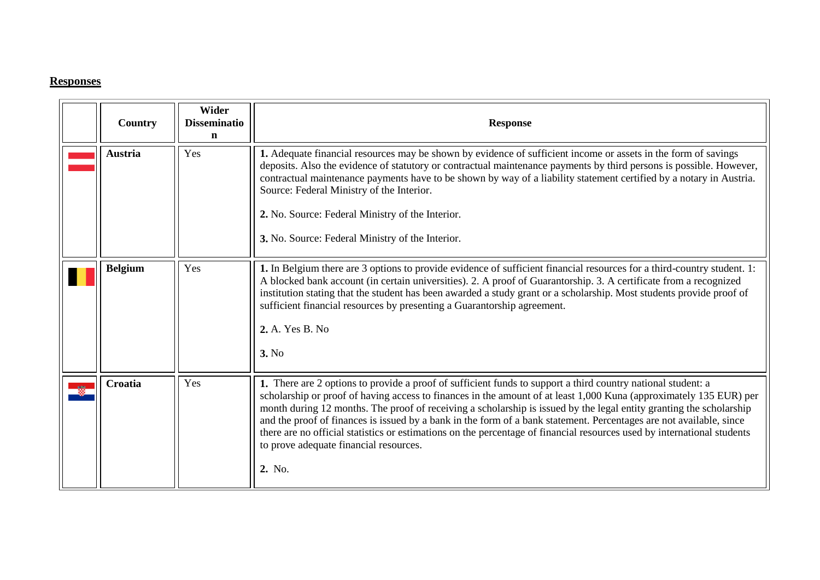## **Responses**

<span id="page-2-2"></span><span id="page-2-1"></span><span id="page-2-0"></span>

| Country        | Wider<br><b>Disseminatio</b><br>n | <b>Response</b>                                                                                                                                                                                                                                                                                                                                                                                                                                                                                                                                                                                                                                                 |
|----------------|-----------------------------------|-----------------------------------------------------------------------------------------------------------------------------------------------------------------------------------------------------------------------------------------------------------------------------------------------------------------------------------------------------------------------------------------------------------------------------------------------------------------------------------------------------------------------------------------------------------------------------------------------------------------------------------------------------------------|
| <b>Austria</b> | Yes                               | 1. Adequate financial resources may be shown by evidence of sufficient income or assets in the form of savings<br>deposits. Also the evidence of statutory or contractual maintenance payments by third persons is possible. However,<br>contractual maintenance payments have to be shown by way of a liability statement certified by a notary in Austria.<br>Source: Federal Ministry of the Interior.<br>2. No. Source: Federal Ministry of the Interior.<br>3. No. Source: Federal Ministry of the Interior.                                                                                                                                               |
| <b>Belgium</b> | Yes                               | 1. In Belgium there are 3 options to provide evidence of sufficient financial resources for a third-country student. 1:<br>A blocked bank account (in certain universities). 2. A proof of Guarantorship. 3. A certificate from a recognized<br>institution stating that the student has been awarded a study grant or a scholarship. Most students provide proof of<br>sufficient financial resources by presenting a Guarantorship agreement.<br>2. A. Yes B. No<br>3. No                                                                                                                                                                                     |
| Croatia        | Yes                               | 1. There are 2 options to provide a proof of sufficient funds to support a third country national student: a<br>scholarship or proof of having access to finances in the amount of at least 1,000 Kuna (approximately 135 EUR) per<br>month during 12 months. The proof of receiving a scholarship is issued by the legal entity granting the scholarship<br>and the proof of finances is issued by a bank in the form of a bank statement. Percentages are not available, since<br>there are no official statistics or estimations on the percentage of financial resources used by international students<br>to prove adequate financial resources.<br>2. No. |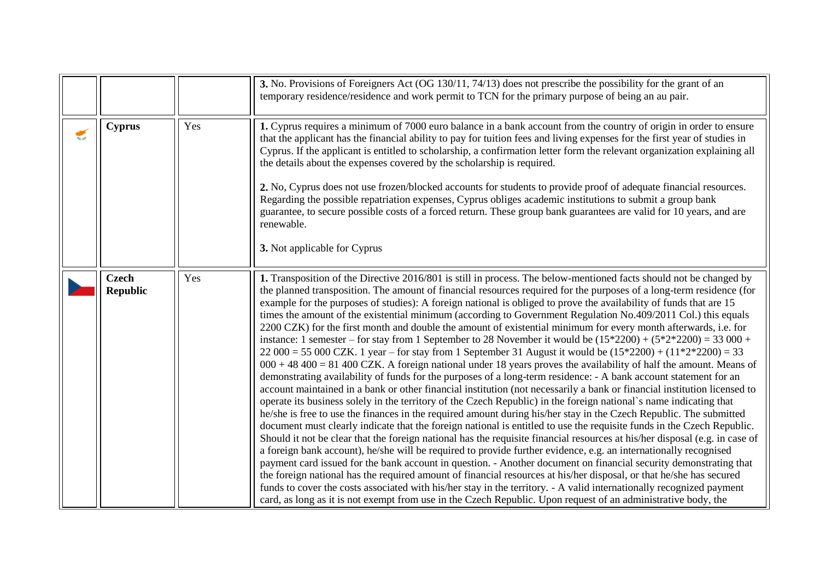<span id="page-3-1"></span><span id="page-3-0"></span>

|                                 |     | 3. No. Provisions of Foreigners Act (OG 130/11, 74/13) does not prescribe the possibility for the grant of an<br>temporary residence/residence and work permit to TCN for the primary purpose of being an au pair.                                                                                                                                                                                                                                                                                                                                                                                                                                                                                                                                                                                                                                                                                                                                                                                                                                                                                                                                                                                                                                                                                                                                                                                                                                                                                                                                                                                                                                                                                                                                                                                                                                                                                                                                                                                                                                                                                                                                                                                                                                                                                                        |
|---------------------------------|-----|---------------------------------------------------------------------------------------------------------------------------------------------------------------------------------------------------------------------------------------------------------------------------------------------------------------------------------------------------------------------------------------------------------------------------------------------------------------------------------------------------------------------------------------------------------------------------------------------------------------------------------------------------------------------------------------------------------------------------------------------------------------------------------------------------------------------------------------------------------------------------------------------------------------------------------------------------------------------------------------------------------------------------------------------------------------------------------------------------------------------------------------------------------------------------------------------------------------------------------------------------------------------------------------------------------------------------------------------------------------------------------------------------------------------------------------------------------------------------------------------------------------------------------------------------------------------------------------------------------------------------------------------------------------------------------------------------------------------------------------------------------------------------------------------------------------------------------------------------------------------------------------------------------------------------------------------------------------------------------------------------------------------------------------------------------------------------------------------------------------------------------------------------------------------------------------------------------------------------------------------------------------------------------------------------------------------------|
| <b>Cyprus</b>                   | Yes | 1. Cyprus requires a minimum of 7000 euro balance in a bank account from the country of origin in order to ensure<br>that the applicant has the financial ability to pay for tuition fees and living expenses for the first year of studies in<br>Cyprus. If the applicant is entitled to scholarship, a confirmation letter form the relevant organization explaining all<br>the details about the expenses covered by the scholarship is required.<br>2. No, Cyprus does not use frozen/blocked accounts for students to provide proof of adequate financial resources.<br>Regarding the possible repatriation expenses, Cyprus obliges academic institutions to submit a group bank<br>guarantee, to secure possible costs of a forced return. These group bank guarantees are valid for 10 years, and are<br>renewable.<br><b>3.</b> Not applicable for Cyprus                                                                                                                                                                                                                                                                                                                                                                                                                                                                                                                                                                                                                                                                                                                                                                                                                                                                                                                                                                                                                                                                                                                                                                                                                                                                                                                                                                                                                                                        |
| <b>Czech</b><br><b>Republic</b> | Yes | 1. Transposition of the Directive 2016/801 is still in process. The below-mentioned facts should not be changed by<br>the planned transposition. The amount of financial resources required for the purposes of a long-term residence (for<br>example for the purposes of studies): A foreign national is obliged to prove the availability of funds that are 15<br>times the amount of the existential minimum (according to Government Regulation No.409/2011 Col.) this equals<br>2200 CZK) for the first month and double the amount of existential minimum for every month afterwards, i.e. for<br>instance: 1 semester – for stay from 1 September to 28 November it would be $(15*2200) + (5*2*2200) = 33000 +$<br>22 000 = 55 000 CZK. 1 year – for stay from 1 September 31 August it would be $(15*2200) + (11*2*2200) = 33$<br>$000 + 48400 = 81400$ CZK. A foreign national under 18 years proves the availability of half the amount. Means of<br>demonstrating availability of funds for the purposes of a long-term residence: - A bank account statement for an<br>account maintained in a bank or other financial institution (not necessarily a bank or financial institution licensed to<br>operate its business solely in the territory of the Czech Republic) in the foreign national's name indicating that<br>he/she is free to use the finances in the required amount during his/her stay in the Czech Republic. The submitted<br>document must clearly indicate that the foreign national is entitled to use the requisite funds in the Czech Republic.<br>Should it not be clear that the foreign national has the requisite financial resources at his/her disposal (e.g. in case of<br>a foreign bank account), he/she will be required to provide further evidence, e.g. an internationally recognised<br>payment card issued for the bank account in question. - Another document on financial security demonstrating that<br>the foreign national has the required amount of financial resources at his/her disposal, or that he/she has secured<br>funds to cover the costs associated with his/her stay in the territory. - A valid internationally recognized payment<br>card, as long as it is not exempt from use in the Czech Republic. Upon request of an administrative body, the |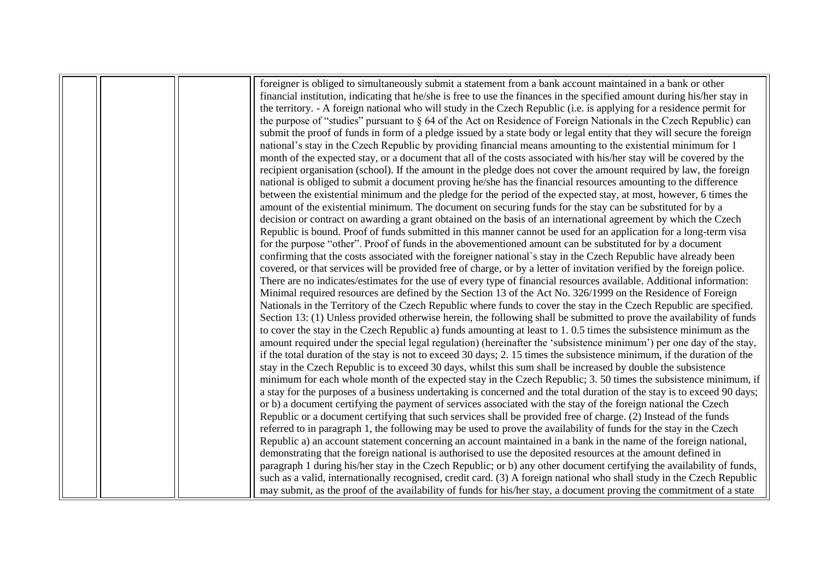|  | foreigner is obliged to simultaneously submit a statement from a bank account maintained in a bank or other              |
|--|--------------------------------------------------------------------------------------------------------------------------|
|  | financial institution, indicating that he/she is free to use the finances in the specified amount during his/her stay in |
|  | the territory. - A foreign national who will study in the Czech Republic (i.e. is applying for a residence permit for    |
|  | the purpose of "studies" pursuant to § 64 of the Act on Residence of Foreign Nationals in the Czech Republic) can        |
|  | submit the proof of funds in form of a pledge issued by a state body or legal entity that they will secure the foreign   |
|  | national's stay in the Czech Republic by providing financial means amounting to the existential minimum for 1            |
|  | month of the expected stay, or a document that all of the costs associated with his/her stay will be covered by the      |
|  | recipient organisation (school). If the amount in the pledge does not cover the amount required by law, the foreign      |
|  | national is obliged to submit a document proving he/she has the financial resources amounting to the difference          |
|  | between the existential minimum and the pledge for the period of the expected stay, at most, however, 6 times the        |
|  | amount of the existential minimum. The document on securing funds for the stay can be substituted for by a               |
|  | decision or contract on awarding a grant obtained on the basis of an international agreement by which the Czech          |
|  | Republic is bound. Proof of funds submitted in this manner cannot be used for an application for a long-term visa        |
|  | for the purpose "other". Proof of funds in the abovementioned amount can be substituted for by a document                |
|  | confirming that the costs associated with the foreigner national's stay in the Czech Republic have already been          |
|  | covered, or that services will be provided free of charge, or by a letter of invitation verified by the foreign police.  |
|  | There are no indicates/estimates for the use of every type of financial resources available. Additional information:     |
|  | Minimal required resources are defined by the Section 13 of the Act No. 326/1999 on the Residence of Foreign             |
|  | Nationals in the Territory of the Czech Republic where funds to cover the stay in the Czech Republic are specified.      |
|  | Section 13: (1) Unless provided otherwise herein, the following shall be submitted to prove the availability of funds    |
|  | to cover the stay in the Czech Republic a) funds amounting at least to 1, 0.5 times the subsistence minimum as the       |
|  | amount required under the special legal regulation) (hereinafter the 'subsistence minimum') per one day of the stay,     |
|  | if the total duration of the stay is not to exceed 30 days; 2.15 times the subsistence minimum, if the duration of the   |
|  | stay in the Czech Republic is to exceed 30 days, whilst this sum shall be increased by double the subsistence            |
|  | minimum for each whole month of the expected stay in the Czech Republic; 3. 50 times the subsistence minimum, if         |
|  | a stay for the purposes of a business undertaking is concerned and the total duration of the stay is to exceed 90 days;  |
|  | or b) a document certifying the payment of services associated with the stay of the foreign national the Czech           |
|  | Republic or a document certifying that such services shall be provided free of charge. (2) Instead of the funds          |
|  | referred to in paragraph 1, the following may be used to prove the availability of funds for the stay in the Czech       |
|  | Republic a) an account statement concerning an account maintained in a bank in the name of the foreign national,         |
|  | demonstrating that the foreign national is authorised to use the deposited resources at the amount defined in            |
|  | paragraph 1 during his/her stay in the Czech Republic; or b) any other document certifying the availability of funds,    |
|  | such as a valid, internationally recognised, credit card. (3) A foreign national who shall study in the Czech Republic   |
|  | may submit, as the proof of the availability of funds for his/her stay, a document proving the commitment of a state     |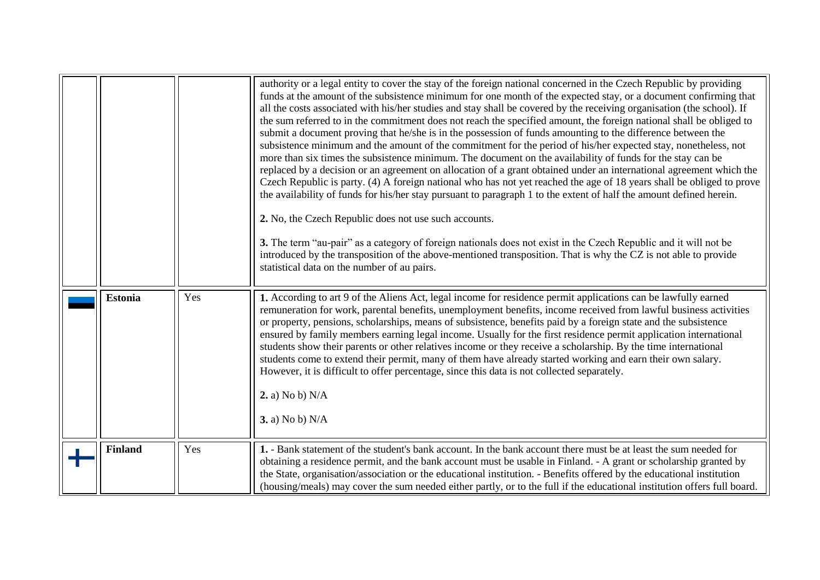<span id="page-5-1"></span><span id="page-5-0"></span>

|                |     | authority or a legal entity to cover the stay of the foreign national concerned in the Czech Republic by providing<br>funds at the amount of the subsistence minimum for one month of the expected stay, or a document confirming that<br>all the costs associated with his/her studies and stay shall be covered by the receiving organisation (the school). If<br>the sum referred to in the commitment does not reach the specified amount, the foreign national shall be obliged to<br>submit a document proving that he/she is in the possession of funds amounting to the difference between the<br>subsistence minimum and the amount of the commitment for the period of his/her expected stay, nonetheless, not<br>more than six times the subsistence minimum. The document on the availability of funds for the stay can be<br>replaced by a decision or an agreement on allocation of a grant obtained under an international agreement which the<br>Czech Republic is party. (4) A foreign national who has not yet reached the age of 18 years shall be obliged to prove<br>the availability of funds for his/her stay pursuant to paragraph 1 to the extent of half the amount defined herein.<br>2. No, the Czech Republic does not use such accounts.<br>3. The term "au-pair" as a category of foreign nationals does not exist in the Czech Republic and it will not be<br>introduced by the transposition of the above-mentioned transposition. That is why the CZ is not able to provide<br>statistical data on the number of au pairs. |
|----------------|-----|--------------------------------------------------------------------------------------------------------------------------------------------------------------------------------------------------------------------------------------------------------------------------------------------------------------------------------------------------------------------------------------------------------------------------------------------------------------------------------------------------------------------------------------------------------------------------------------------------------------------------------------------------------------------------------------------------------------------------------------------------------------------------------------------------------------------------------------------------------------------------------------------------------------------------------------------------------------------------------------------------------------------------------------------------------------------------------------------------------------------------------------------------------------------------------------------------------------------------------------------------------------------------------------------------------------------------------------------------------------------------------------------------------------------------------------------------------------------------------------------------------------------------------------------------------------|
| <b>Estonia</b> | Yes | 1. According to art 9 of the Aliens Act, legal income for residence permit applications can be lawfully earned<br>remuneration for work, parental benefits, unemployment benefits, income received from lawful business activities<br>or property, pensions, scholarships, means of subsistence, benefits paid by a foreign state and the subsistence<br>ensured by family members earning legal income. Usually for the first residence permit application international<br>students show their parents or other relatives income or they receive a scholarship. By the time international<br>students come to extend their permit, many of them have already started working and earn their own salary.<br>However, it is difficult to offer percentage, since this data is not collected separately.<br>2. a) No b) N/A<br><b>3.</b> a) No b) N/A                                                                                                                                                                                                                                                                                                                                                                                                                                                                                                                                                                                                                                                                                                         |
| <b>Finland</b> | Yes | 1. - Bank statement of the student's bank account. In the bank account there must be at least the sum needed for<br>obtaining a residence permit, and the bank account must be usable in Finland. - A grant or scholarship granted by<br>the State, organisation/association or the educational institution. - Benefits offered by the educational institution<br>(housing/meals) may cover the sum needed either partly, or to the full if the educational institution offers full board.                                                                                                                                                                                                                                                                                                                                                                                                                                                                                                                                                                                                                                                                                                                                                                                                                                                                                                                                                                                                                                                                   |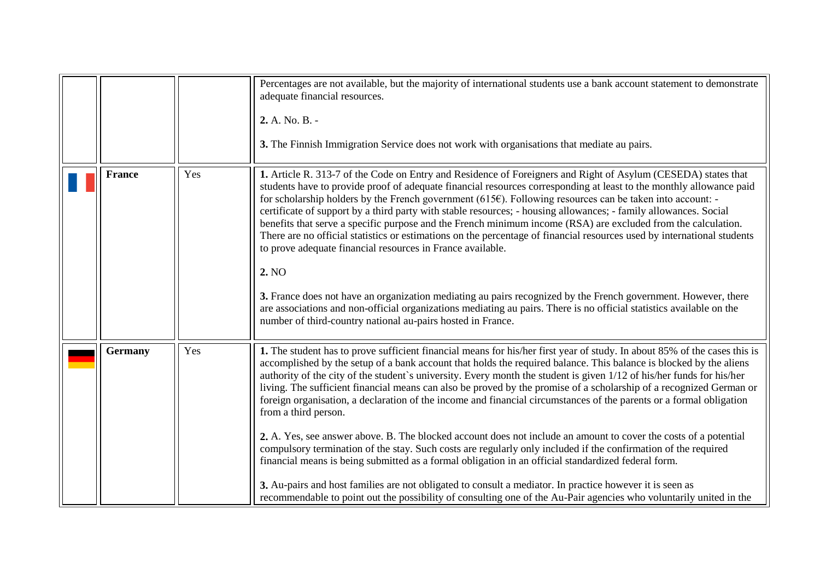<span id="page-6-1"></span><span id="page-6-0"></span>

|                |     | Percentages are not available, but the majority of international students use a bank account statement to demonstrate<br>adequate financial resources.<br>2. A. No. B. -<br>3. The Finnish Immigration Service does not work with organisations that mediate au pairs.                                                                                                                                                                                                                                                                                                                                                                                                                                                                                                                                                                                                                                                                                                                                                                                                                                                                                                                                                        |
|----------------|-----|-------------------------------------------------------------------------------------------------------------------------------------------------------------------------------------------------------------------------------------------------------------------------------------------------------------------------------------------------------------------------------------------------------------------------------------------------------------------------------------------------------------------------------------------------------------------------------------------------------------------------------------------------------------------------------------------------------------------------------------------------------------------------------------------------------------------------------------------------------------------------------------------------------------------------------------------------------------------------------------------------------------------------------------------------------------------------------------------------------------------------------------------------------------------------------------------------------------------------------|
| <b>France</b>  | Yes | 1. Article R. 313-7 of the Code on Entry and Residence of Foreigners and Right of Asylum (CESEDA) states that<br>students have to provide proof of adequate financial resources corresponding at least to the monthly allowance paid<br>for scholarship holders by the French government (615 $\epsilon$ ). Following resources can be taken into account: -<br>certificate of support by a third party with stable resources; - housing allowances; - family allowances. Social<br>benefits that serve a specific purpose and the French minimum income (RSA) are excluded from the calculation.<br>There are no official statistics or estimations on the percentage of financial resources used by international students<br>to prove adequate financial resources in France available.<br>2. NO<br>3. France does not have an organization mediating au pairs recognized by the French government. However, there<br>are associations and non-official organizations mediating au pairs. There is no official statistics available on the<br>number of third-country national au-pairs hosted in France.                                                                                                                  |
| <b>Germany</b> | Yes | 1. The student has to prove sufficient financial means for his/her first year of study. In about 85% of the cases this is<br>accomplished by the setup of a bank account that holds the required balance. This balance is blocked by the aliens<br>authority of the city of the student's university. Every month the student is given 1/12 of his/her funds for his/her<br>living. The sufficient financial means can also be proved by the promise of a scholarship of a recognized German or<br>foreign organisation, a declaration of the income and financial circumstances of the parents or a formal obligation<br>from a third person.<br>2. A. Yes, see answer above. B. The blocked account does not include an amount to cover the costs of a potential<br>compulsory termination of the stay. Such costs are regularly only included if the confirmation of the required<br>financial means is being submitted as a formal obligation in an official standardized federal form.<br>3. Au-pairs and host families are not obligated to consult a mediator. In practice however it is seen as<br>recommendable to point out the possibility of consulting one of the Au-Pair agencies who voluntarily united in the |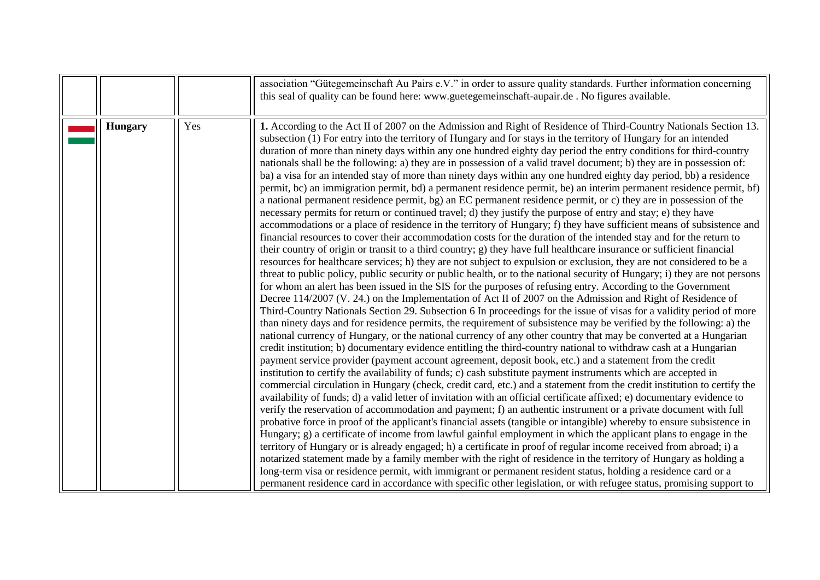<span id="page-7-0"></span>

|                |     | association "Gütegemeinschaft Au Pairs e.V." in order to assure quality standards. Further information concerning<br>this seal of quality can be found here: www.guetegemeinschaft-aupair.de. No figures available.                                                                                                                                                                                                                                                                                                                                                                                                                                                                                                                                                                                                                                                                                                                                                                                                                                                                                                                                                                                                                                                                                                                                                                                                                                                                                                                                                                                                                                                                                                                                                                                                                                                                                                                                                                                                                                                                                                                                                                                                                                                                                                                                                                                                                                                                                                                                                                                                                                                                                                                                                                                                                                                                                                                                                                                                                                                                                                                                                                                                                                                                                                                                                                                                                                                                                                                                                                                                                                                |
|----------------|-----|--------------------------------------------------------------------------------------------------------------------------------------------------------------------------------------------------------------------------------------------------------------------------------------------------------------------------------------------------------------------------------------------------------------------------------------------------------------------------------------------------------------------------------------------------------------------------------------------------------------------------------------------------------------------------------------------------------------------------------------------------------------------------------------------------------------------------------------------------------------------------------------------------------------------------------------------------------------------------------------------------------------------------------------------------------------------------------------------------------------------------------------------------------------------------------------------------------------------------------------------------------------------------------------------------------------------------------------------------------------------------------------------------------------------------------------------------------------------------------------------------------------------------------------------------------------------------------------------------------------------------------------------------------------------------------------------------------------------------------------------------------------------------------------------------------------------------------------------------------------------------------------------------------------------------------------------------------------------------------------------------------------------------------------------------------------------------------------------------------------------------------------------------------------------------------------------------------------------------------------------------------------------------------------------------------------------------------------------------------------------------------------------------------------------------------------------------------------------------------------------------------------------------------------------------------------------------------------------------------------------------------------------------------------------------------------------------------------------------------------------------------------------------------------------------------------------------------------------------------------------------------------------------------------------------------------------------------------------------------------------------------------------------------------------------------------------------------------------------------------------------------------------------------------------------------------------------------------------------------------------------------------------------------------------------------------------------------------------------------------------------------------------------------------------------------------------------------------------------------------------------------------------------------------------------------------------------------------------------------------------------------------------------------------------|
| <b>Hungary</b> | Yes | 1. According to the Act II of 2007 on the Admission and Right of Residence of Third-Country Nationals Section 13.<br>subsection (1) For entry into the territory of Hungary and for stays in the territory of Hungary for an intended<br>duration of more than ninety days within any one hundred eighty day period the entry conditions for third-country<br>nationals shall be the following: a) they are in possession of a valid travel document; b) they are in possession of:<br>ba) a visa for an intended stay of more than ninety days within any one hundred eighty day period, bb) a residence<br>permit, bc) an immigration permit, bd) a permanent residence permit, be) an interim permanent residence permit, bf)<br>a national permanent residence permit, bg) an EC permanent residence permit, or c) they are in possession of the<br>necessary permits for return or continued travel; d) they justify the purpose of entry and stay; e) they have<br>accommodations or a place of residence in the territory of Hungary; f) they have sufficient means of subsistence and<br>financial resources to cover their accommodation costs for the duration of the intended stay and for the return to<br>their country of origin or transit to a third country; g) they have full healthcare insurance or sufficient financial<br>resources for healthcare services; h) they are not subject to expulsion or exclusion, they are not considered to be a<br>threat to public policy, public security or public health, or to the national security of Hungary; i) they are not persons<br>for whom an alert has been issued in the SIS for the purposes of refusing entry. According to the Government<br>Decree 114/2007 (V. 24.) on the Implementation of Act II of 2007 on the Admission and Right of Residence of<br>Third-Country Nationals Section 29. Subsection 6 In proceedings for the issue of visas for a validity period of more<br>than ninety days and for residence permits, the requirement of subsistence may be verified by the following: a) the<br>national currency of Hungary, or the national currency of any other country that may be converted at a Hungarian<br>credit institution; b) documentary evidence entitling the third-country national to withdraw cash at a Hungarian<br>payment service provider (payment account agreement, deposit book, etc.) and a statement from the credit<br>institution to certify the availability of funds; c) cash substitute payment instruments which are accepted in<br>commercial circulation in Hungary (check, credit card, etc.) and a statement from the credit institution to certify the<br>availability of funds; d) a valid letter of invitation with an official certificate affixed; e) documentary evidence to<br>verify the reservation of accommodation and payment; f) an authentic instrument or a private document with full<br>probative force in proof of the applicant's financial assets (tangible or intangible) whereby to ensure subsistence in<br>Hungary; g) a certificate of income from lawful gainful employment in which the applicant plans to engage in the<br>territory of Hungary or is already engaged; h) a certificate in proof of regular income received from abroad; i) a<br>notarized statement made by a family member with the right of residence in the territory of Hungary as holding a<br>long-term visa or residence permit, with immigrant or permanent resident status, holding a residence card or a<br>permanent residence card in accordance with specific other legislation, or with refugee status, promising support to |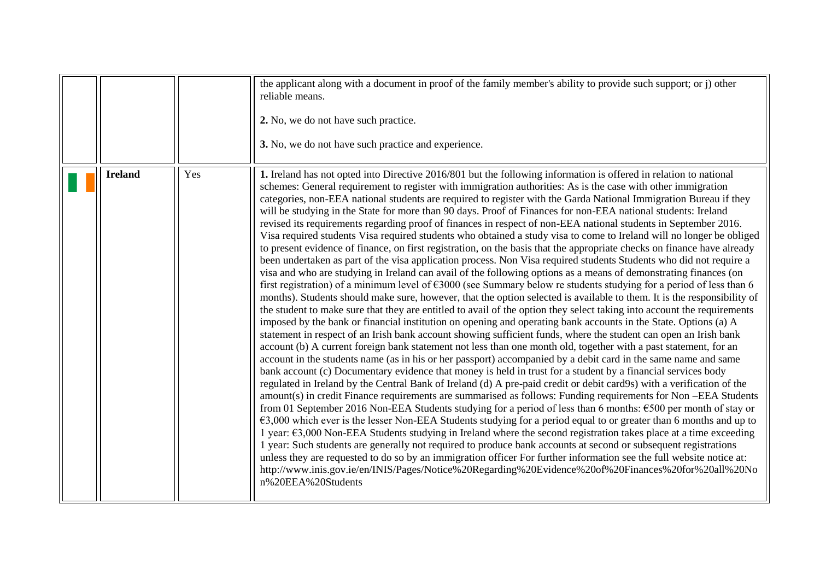<span id="page-8-0"></span>

|                |     | the applicant along with a document in proof of the family member's ability to provide such support; or j) other<br>reliable means.<br>2. No, we do not have such practice.<br>3. No, we do not have such practice and experience.                                                                                                                                                                                                                                                                                                                                                                                                                                                                                                                                                                                                                                                                                                                                                                                                                                                                                                                                                                                                                                                                                                                                                                                                                                                                                                                                                                                                                                                                                                                                                                                                                                                                                                                                                                                                                                                                                                                                                                                                                                                                                                                                                                                                                                                                                                                                                                                                                                                                                                                                                                                                                                                                                                                                                                                                                                   |
|----------------|-----|----------------------------------------------------------------------------------------------------------------------------------------------------------------------------------------------------------------------------------------------------------------------------------------------------------------------------------------------------------------------------------------------------------------------------------------------------------------------------------------------------------------------------------------------------------------------------------------------------------------------------------------------------------------------------------------------------------------------------------------------------------------------------------------------------------------------------------------------------------------------------------------------------------------------------------------------------------------------------------------------------------------------------------------------------------------------------------------------------------------------------------------------------------------------------------------------------------------------------------------------------------------------------------------------------------------------------------------------------------------------------------------------------------------------------------------------------------------------------------------------------------------------------------------------------------------------------------------------------------------------------------------------------------------------------------------------------------------------------------------------------------------------------------------------------------------------------------------------------------------------------------------------------------------------------------------------------------------------------------------------------------------------------------------------------------------------------------------------------------------------------------------------------------------------------------------------------------------------------------------------------------------------------------------------------------------------------------------------------------------------------------------------------------------------------------------------------------------------------------------------------------------------------------------------------------------------------------------------------------------------------------------------------------------------------------------------------------------------------------------------------------------------------------------------------------------------------------------------------------------------------------------------------------------------------------------------------------------------------------------------------------------------------------------------------------------------|
| <b>Ireland</b> | Yes | 1. Ireland has not opted into Directive 2016/801 but the following information is offered in relation to national<br>schemes: General requirement to register with immigration authorities: As is the case with other immigration<br>categories, non-EEA national students are required to register with the Garda National Immigration Bureau if they<br>will be studying in the State for more than 90 days. Proof of Finances for non-EEA national students: Ireland<br>revised its requirements regarding proof of finances in respect of non-EEA national students in September 2016.<br>Visa required students Visa required students who obtained a study visa to come to Ireland will no longer be obliged<br>to present evidence of finance, on first registration, on the basis that the appropriate checks on finance have already<br>been undertaken as part of the visa application process. Non Visa required students Students who did not require a<br>visa and who are studying in Ireland can avail of the following options as a means of demonstrating finances (on<br>first registration) of a minimum level of $\epsilon$ 3000 (see Summary below re students studying for a period of less than 6<br>months). Students should make sure, however, that the option selected is available to them. It is the responsibility of<br>the student to make sure that they are entitled to avail of the option they select taking into account the requirements<br>imposed by the bank or financial institution on opening and operating bank accounts in the State. Options (a) A<br>statement in respect of an Irish bank account showing sufficient funds, where the student can open an Irish bank<br>account (b) A current foreign bank statement not less than one month old, together with a past statement, for an<br>account in the students name (as in his or her passport) accompanied by a debit card in the same name and same<br>bank account (c) Documentary evidence that money is held in trust for a student by a financial services body<br>regulated in Ireland by the Central Bank of Ireland (d) A pre-paid credit or debit card9s) with a verification of the<br>amount(s) in credit Finance requirements are summarised as follows: Funding requirements for Non-EEA Students<br>from 01 September 2016 Non-EEA Students studying for a period of less than 6 months: €500 per month of stay or<br>$\epsilon$ 3,000 which ever is the lesser Non-EEA Students studying for a period equal to or greater than 6 months and up to<br>1 year: €3,000 Non-EEA Students studying in Ireland where the second registration takes place at a time exceeding<br>1 year: Such students are generally not required to produce bank accounts at second or subsequent registrations<br>unless they are requested to do so by an immigration officer For further information see the full website notice at:<br>http://www.inis.gov.ie/en/INIS/Pages/Notice%20Regarding%20Evidence%20of%20Finances%20for%20all%20No<br>n%20EEA%20Students |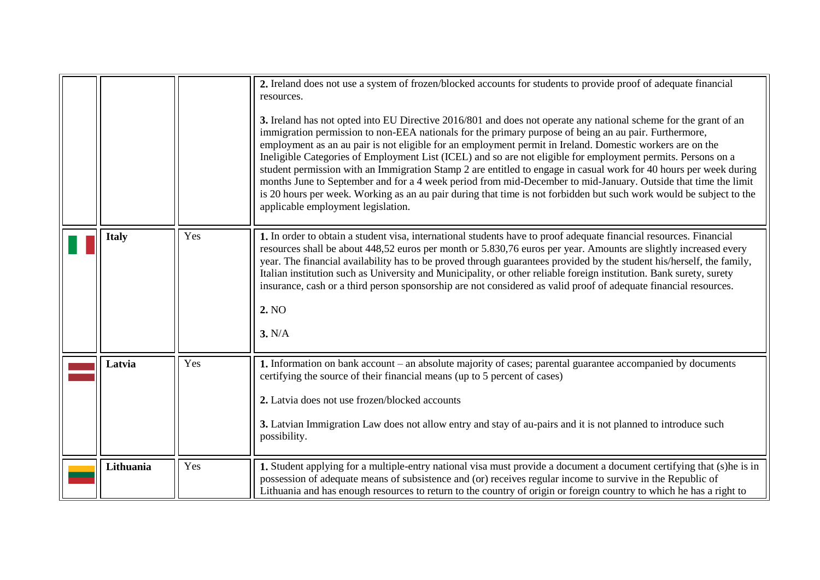<span id="page-9-2"></span><span id="page-9-1"></span><span id="page-9-0"></span>

|              |     | 2. Ireland does not use a system of frozen/blocked accounts for students to provide proof of adequate financial<br>resources.<br>3. Ireland has not opted into EU Directive 2016/801 and does not operate any national scheme for the grant of an<br>immigration permission to non-EEA nationals for the primary purpose of being an au pair. Furthermore,<br>employment as an au pair is not eligible for an employment permit in Ireland. Domestic workers are on the<br>Ineligible Categories of Employment List (ICEL) and so are not eligible for employment permits. Persons on a<br>student permission with an Immigration Stamp 2 are entitled to engage in casual work for 40 hours per week during<br>months June to September and for a 4 week period from mid-December to mid-January. Outside that time the limit<br>is 20 hours per week. Working as an au pair during that time is not forbidden but such work would be subject to the<br>applicable employment legislation. |
|--------------|-----|---------------------------------------------------------------------------------------------------------------------------------------------------------------------------------------------------------------------------------------------------------------------------------------------------------------------------------------------------------------------------------------------------------------------------------------------------------------------------------------------------------------------------------------------------------------------------------------------------------------------------------------------------------------------------------------------------------------------------------------------------------------------------------------------------------------------------------------------------------------------------------------------------------------------------------------------------------------------------------------------|
| <b>Italy</b> | Yes | 1. In order to obtain a student visa, international students have to proof adequate financial resources. Financial<br>resources shall be about 448,52 euros per month or 5.830,76 euros per year. Amounts are slightly increased every<br>year. The financial availability has to be proved through guarantees provided by the student his/herself, the family,<br>Italian institution such as University and Municipality, or other reliable foreign institution. Bank surety, surety<br>insurance, cash or a third person sponsorship are not considered as valid proof of adequate financial resources.<br>2. NO<br>3. N/A                                                                                                                                                                                                                                                                                                                                                               |
| Latvia       | Yes | 1. Information on bank account – an absolute majority of cases; parental guarantee accompanied by documents<br>certifying the source of their financial means (up to 5 percent of cases)<br>2. Latvia does not use frozen/blocked accounts<br>3. Latvian Immigration Law does not allow entry and stay of au-pairs and it is not planned to introduce such<br>possibility.                                                                                                                                                                                                                                                                                                                                                                                                                                                                                                                                                                                                                  |
| Lithuania    | Yes | 1. Student applying for a multiple-entry national visa must provide a document a document certifying that (s)he is in<br>possession of adequate means of subsistence and (or) receives regular income to survive in the Republic of<br>Lithuania and has enough resources to return to the country of origin or foreign country to which he has a right to                                                                                                                                                                                                                                                                                                                                                                                                                                                                                                                                                                                                                                  |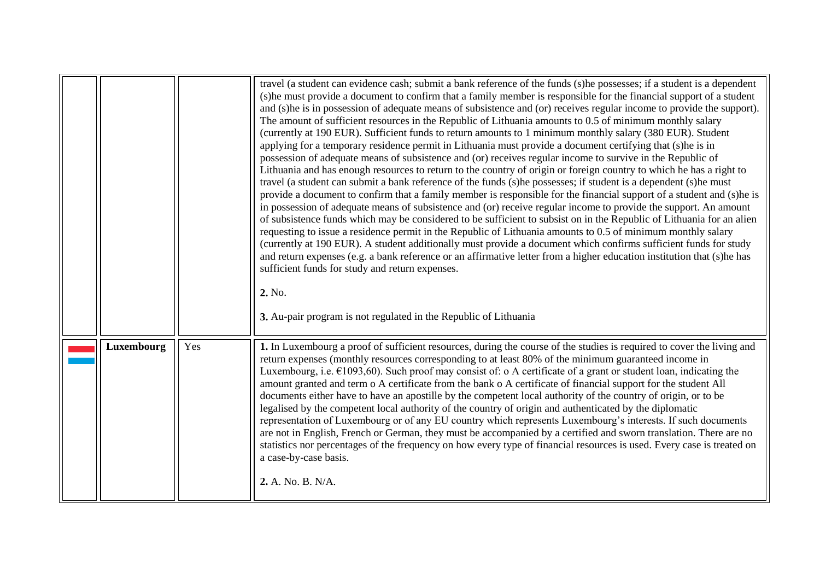<span id="page-10-0"></span>

|            |     | travel (a student can evidence cash; submit a bank reference of the funds (s)he possesses; if a student is a dependent<br>(s) he must provide a document to confirm that a family member is responsible for the financial support of a student<br>and (s) he is in possession of adequate means of subsistence and (or) receives regular income to provide the support).<br>The amount of sufficient resources in the Republic of Lithuania amounts to 0.5 of minimum monthly salary<br>(currently at 190 EUR). Sufficient funds to return amounts to 1 minimum monthly salary (380 EUR). Student<br>applying for a temporary residence permit in Lithuania must provide a document certifying that (s)he is in<br>possession of adequate means of subsistence and (or) receives regular income to survive in the Republic of<br>Lithuania and has enough resources to return to the country of origin or foreign country to which he has a right to<br>travel (a student can submit a bank reference of the funds (s)he possesses; if student is a dependent (s)he must<br>provide a document to confirm that a family member is responsible for the financial support of a student and (s)he is<br>in possession of adequate means of subsistence and (or) receive regular income to provide the support. An amount<br>of subsistence funds which may be considered to be sufficient to subsist on in the Republic of Lithuania for an alien<br>requesting to issue a residence permit in the Republic of Lithuania amounts to 0.5 of minimum monthly salary<br>(currently at 190 EUR). A student additionally must provide a document which confirms sufficient funds for study<br>and return expenses (e.g. a bank reference or an affirmative letter from a higher education institution that (s)he has<br>sufficient funds for study and return expenses.<br>2. No. |
|------------|-----|---------------------------------------------------------------------------------------------------------------------------------------------------------------------------------------------------------------------------------------------------------------------------------------------------------------------------------------------------------------------------------------------------------------------------------------------------------------------------------------------------------------------------------------------------------------------------------------------------------------------------------------------------------------------------------------------------------------------------------------------------------------------------------------------------------------------------------------------------------------------------------------------------------------------------------------------------------------------------------------------------------------------------------------------------------------------------------------------------------------------------------------------------------------------------------------------------------------------------------------------------------------------------------------------------------------------------------------------------------------------------------------------------------------------------------------------------------------------------------------------------------------------------------------------------------------------------------------------------------------------------------------------------------------------------------------------------------------------------------------------------------------------------------------------------------------------------------------------------------------------------|
| Luxembourg | Yes | 3. Au-pair program is not regulated in the Republic of Lithuania<br>1. In Luxembourg a proof of sufficient resources, during the course of the studies is required to cover the living and<br>return expenses (monthly resources corresponding to at least 80% of the minimum guaranteed income in                                                                                                                                                                                                                                                                                                                                                                                                                                                                                                                                                                                                                                                                                                                                                                                                                                                                                                                                                                                                                                                                                                                                                                                                                                                                                                                                                                                                                                                                                                                                                                        |
|            |     | Luxembourg, i.e. $E1093,60$ ). Such proof may consist of: o A certificate of a grant or student loan, indicating the<br>amount granted and term o A certificate from the bank o A certificate of financial support for the student All<br>documents either have to have an apostille by the competent local authority of the country of origin, or to be<br>legalised by the competent local authority of the country of origin and authoriticated by the diplomatic<br>representation of Luxembourg or of any EU country which represents Luxembourg's interests. If such documents<br>are not in English, French or German, they must be accompanied by a certified and sworn translation. There are no<br>statistics nor percentages of the frequency on how every type of financial resources is used. Every case is treated on<br>a case-by-case basis.<br>2. A. No. B. N/A.                                                                                                                                                                                                                                                                                                                                                                                                                                                                                                                                                                                                                                                                                                                                                                                                                                                                                                                                                                                         |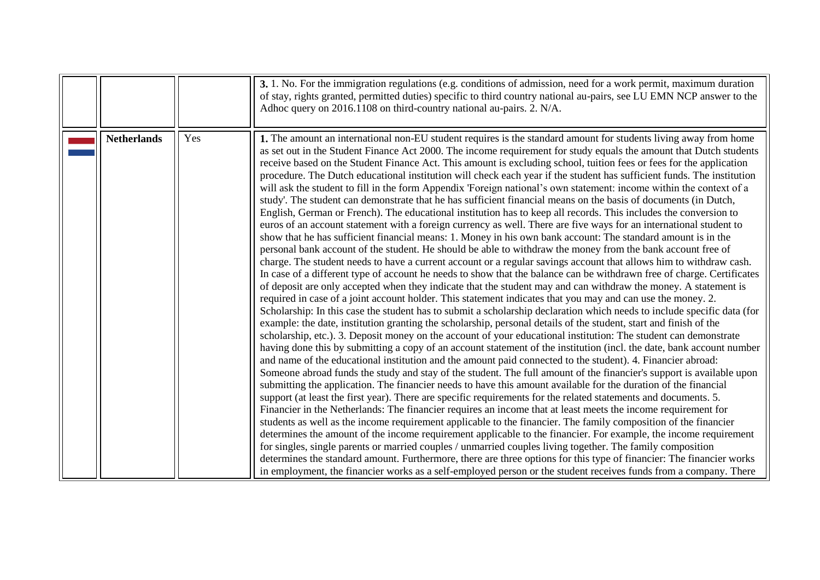<span id="page-11-0"></span>

|                    |     | 3. 1. No. For the immigration regulations (e.g. conditions of admission, need for a work permit, maximum duration<br>of stay, rights granted, permitted duties) specific to third country national au-pairs, see LU EMN NCP answer to the<br>Adhoc query on 2016.1108 on third-country national au-pairs. 2. N/A.                                                                                                                                                                                                                                                                                                                                                                                                                                                                                                                                                                                                                                                                                                                                                                                                                                                                                                                                                                                                                                                                                                                                                                                                                                                                                                                                                                                                                                                                                                                                                                                                                                                                                                                                                                                                                                                                                                                                                                                                                                                                                                                                                                                                                                                                                                                                                                                                                                                                                                                                                                                                                                                                                                                                                                                                                                                                                                                                                                                                                                                                        |
|--------------------|-----|------------------------------------------------------------------------------------------------------------------------------------------------------------------------------------------------------------------------------------------------------------------------------------------------------------------------------------------------------------------------------------------------------------------------------------------------------------------------------------------------------------------------------------------------------------------------------------------------------------------------------------------------------------------------------------------------------------------------------------------------------------------------------------------------------------------------------------------------------------------------------------------------------------------------------------------------------------------------------------------------------------------------------------------------------------------------------------------------------------------------------------------------------------------------------------------------------------------------------------------------------------------------------------------------------------------------------------------------------------------------------------------------------------------------------------------------------------------------------------------------------------------------------------------------------------------------------------------------------------------------------------------------------------------------------------------------------------------------------------------------------------------------------------------------------------------------------------------------------------------------------------------------------------------------------------------------------------------------------------------------------------------------------------------------------------------------------------------------------------------------------------------------------------------------------------------------------------------------------------------------------------------------------------------------------------------------------------------------------------------------------------------------------------------------------------------------------------------------------------------------------------------------------------------------------------------------------------------------------------------------------------------------------------------------------------------------------------------------------------------------------------------------------------------------------------------------------------------------------------------------------------------------------------------------------------------------------------------------------------------------------------------------------------------------------------------------------------------------------------------------------------------------------------------------------------------------------------------------------------------------------------------------------------------------------------------------------------------------------------------------------------------|
| <b>Netherlands</b> | Yes | 1. The amount an international non-EU student requires is the standard amount for students living away from home<br>as set out in the Student Finance Act 2000. The income requirement for study equals the amount that Dutch students<br>receive based on the Student Finance Act. This amount is excluding school, tuition fees or fees for the application<br>procedure. The Dutch educational institution will check each year if the student has sufficient funds. The institution<br>will ask the student to fill in the form Appendix 'Foreign national's own statement: income within the context of a<br>study'. The student can demonstrate that he has sufficient financial means on the basis of documents (in Dutch,<br>English, German or French). The educational institution has to keep all records. This includes the conversion to<br>euros of an account statement with a foreign currency as well. There are five ways for an international student to<br>show that he has sufficient financial means: 1. Money in his own bank account: The standard amount is in the<br>personal bank account of the student. He should be able to withdraw the money from the bank account free of<br>charge. The student needs to have a current account or a regular savings account that allows him to withdraw cash.<br>In case of a different type of account he needs to show that the balance can be withdrawn free of charge. Certificates<br>of deposit are only accepted when they indicate that the student may and can withdraw the money. A statement is<br>required in case of a joint account holder. This statement indicates that you may and can use the money. 2.<br>Scholarship: In this case the student has to submit a scholarship declaration which needs to include specific data (for<br>example: the date, institution granting the scholarship, personal details of the student, start and finish of the<br>scholarship, etc.). 3. Deposit money on the account of your educational institution: The student can demonstrate<br>having done this by submitting a copy of an account statement of the institution (incl. the date, bank account number<br>and name of the educational institution and the amount paid connected to the student). 4. Financier abroad:<br>Someone abroad funds the study and stay of the student. The full amount of the financier's support is available upon<br>submitting the application. The financier needs to have this amount available for the duration of the financial<br>support (at least the first year). There are specific requirements for the related statements and documents. 5.<br>Financier in the Netherlands: The financier requires an income that at least meets the income requirement for<br>students as well as the income requirement applicable to the financier. The family composition of the financier<br>determines the amount of the income requirement applicable to the financier. For example, the income requirement<br>for singles, single parents or married couples / unmarried couples living together. The family composition<br>determines the standard amount. Furthermore, there are three options for this type of financier: The financier works<br>in employment, the financier works as a self-employed person or the student receives funds from a company. There |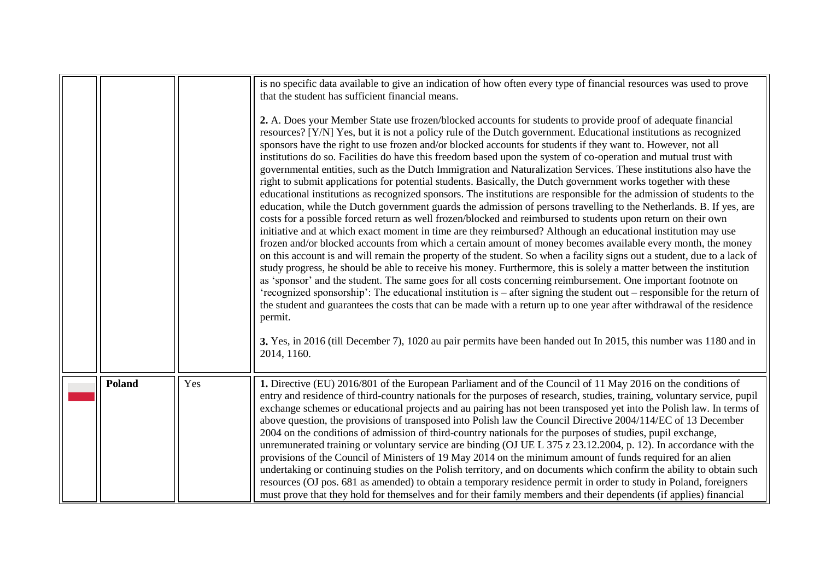<span id="page-12-0"></span>

|               |     | is no specific data available to give an indication of how often every type of financial resources was used to prove<br>that the student has sufficient financial means.<br>2. A. Does your Member State use frozen/blocked accounts for students to provide proof of adequate financial<br>resources? [Y/N] Yes, but it is not a policy rule of the Dutch government. Educational institutions as recognized<br>sponsors have the right to use frozen and/or blocked accounts for students if they want to. However, not all<br>institutions do so. Facilities do have this freedom based upon the system of co-operation and mutual trust with<br>governmental entities, such as the Dutch Immigration and Naturalization Services. These institutions also have the<br>right to submit applications for potential students. Basically, the Dutch government works together with these<br>educational institutions as recognized sponsors. The institutions are responsible for the admission of students to the<br>education, while the Dutch government guards the admission of persons travelling to the Netherlands. B. If yes, are<br>costs for a possible forced return as well frozen/blocked and reimbursed to students upon return on their own<br>initiative and at which exact moment in time are they reimbursed? Although an educational institution may use<br>frozen and/or blocked accounts from which a certain amount of money becomes available every month, the money<br>on this account is and will remain the property of the student. So when a facility signs out a student, due to a lack of<br>study progress, he should be able to receive his money. Furthermore, this is solely a matter between the institution<br>as 'sponsor' and the student. The same goes for all costs concerning reimbursement. One important footnote on<br>'recognized sponsorship': The educational institution is – after signing the student out – responsible for the return of<br>the student and guarantees the costs that can be made with a return up to one year after withdrawal of the residence |
|---------------|-----|----------------------------------------------------------------------------------------------------------------------------------------------------------------------------------------------------------------------------------------------------------------------------------------------------------------------------------------------------------------------------------------------------------------------------------------------------------------------------------------------------------------------------------------------------------------------------------------------------------------------------------------------------------------------------------------------------------------------------------------------------------------------------------------------------------------------------------------------------------------------------------------------------------------------------------------------------------------------------------------------------------------------------------------------------------------------------------------------------------------------------------------------------------------------------------------------------------------------------------------------------------------------------------------------------------------------------------------------------------------------------------------------------------------------------------------------------------------------------------------------------------------------------------------------------------------------------------------------------------------------------------------------------------------------------------------------------------------------------------------------------------------------------------------------------------------------------------------------------------------------------------------------------------------------------------------------------------------------------------------------------------------------------------------------------------------------------------------------------------------------|
|               |     | permit.<br>3. Yes, in 2016 (till December 7), 1020 au pair permits have been handed out In 2015, this number was 1180 and in<br>2014, 1160.                                                                                                                                                                                                                                                                                                                                                                                                                                                                                                                                                                                                                                                                                                                                                                                                                                                                                                                                                                                                                                                                                                                                                                                                                                                                                                                                                                                                                                                                                                                                                                                                                                                                                                                                                                                                                                                                                                                                                                          |
| <b>Poland</b> | Yes | 1. Directive (EU) 2016/801 of the European Parliament and of the Council of 11 May 2016 on the conditions of<br>entry and residence of third-country nationals for the purposes of research, studies, training, voluntary service, pupil<br>exchange schemes or educational projects and au pairing has not been transposed yet into the Polish law. In terms of<br>above question, the provisions of transposed into Polish law the Council Directive 2004/114/EC of 13 December<br>2004 on the conditions of admission of third-country nationals for the purposes of studies, pupil exchange,<br>unremunerated training or voluntary service are binding (OJ UE L 375 z 23.12.2004, p. 12). In accordance with the<br>provisions of the Council of Ministers of 19 May 2014 on the minimum amount of funds required for an alien<br>undertaking or continuing studies on the Polish territory, and on documents which confirm the ability to obtain such<br>resources (OJ pos. 681 as amended) to obtain a temporary residence permit in order to study in Poland, foreigners<br>must prove that they hold for themselves and for their family members and their dependents (if applies) financial                                                                                                                                                                                                                                                                                                                                                                                                                                                                                                                                                                                                                                                                                                                                                                                                                                                                                                                |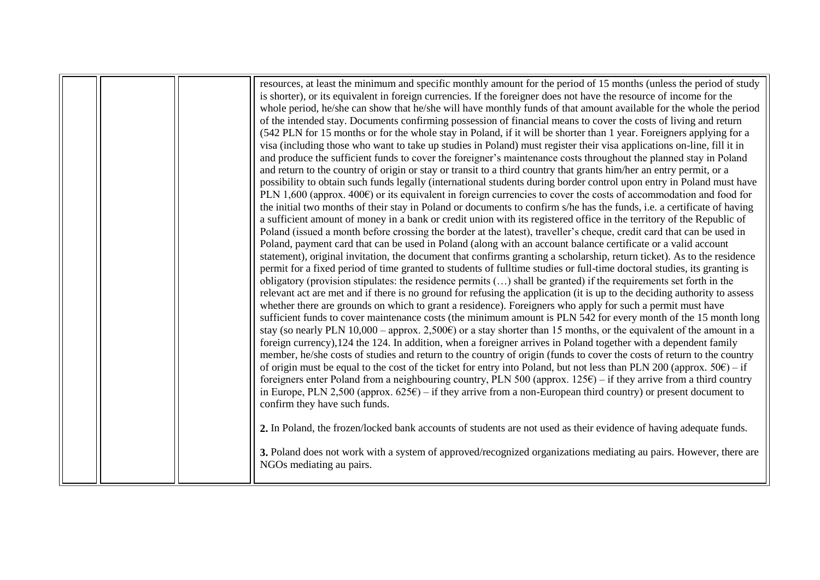|  | resources, at least the minimum and specific monthly amount for the period of 15 months (unless the period of study             |
|--|---------------------------------------------------------------------------------------------------------------------------------|
|  | is shorter), or its equivalent in foreign currencies. If the foreigner does not have the resource of income for the             |
|  | whole period, he/she can show that he/she will have monthly funds of that amount available for the whole the period             |
|  | of the intended stay. Documents confirming possession of financial means to cover the costs of living and return                |
|  | (542 PLN for 15 months or for the whole stay in Poland, if it will be shorter than 1 year. Foreigners applying for a            |
|  | visa (including those who want to take up studies in Poland) must register their visa applications on-line, fill it in          |
|  | and produce the sufficient funds to cover the foreigner's maintenance costs throughout the planned stay in Poland               |
|  | and return to the country of origin or stay or transit to a third country that grants him/her an entry permit, or a             |
|  | possibility to obtain such funds legally (international students during border control upon entry in Poland must have           |
|  | PLN 1,600 (approx. $400\text{E}$ ) or its equivalent in foreign currencies to cover the costs of accommodation and food for     |
|  | the initial two months of their stay in Poland or documents to confirm s/he has the funds, i.e. a certificate of having         |
|  | a sufficient amount of money in a bank or credit union with its registered office in the territory of the Republic of           |
|  | Poland (issued a month before crossing the border at the latest), traveller's cheque, credit card that can be used in           |
|  | Poland, payment card that can be used in Poland (along with an account balance certificate or a valid account                   |
|  | statement), original invitation, the document that confirms granting a scholarship, return ticket). As to the residence         |
|  | permit for a fixed period of time granted to students of full time studies or full-time doctoral studies, its granting is       |
|  | obligatory (provision stipulates: the residence permits () shall be granted) if the requirements set forth in the               |
|  | relevant act are met and if there is no ground for refusing the application (it is up to the deciding authority to assess       |
|  | whether there are grounds on which to grant a residence). Foreigners who apply for such a permit must have                      |
|  | sufficient funds to cover maintenance costs (the minimum amount is PLN 542 for every month of the 15 month long                 |
|  | stay (so nearly PLN 10,000 – approx. 2,500 $\epsilon$ ) or a stay shorter than 15 months, or the equivalent of the amount in a  |
|  | foreign currency), 124 the 124. In addition, when a foreigner arrives in Poland together with a dependent family                |
|  | member, he/she costs of studies and return to the country of origin (funds to cover the costs of return to the country          |
|  | of origin must be equal to the cost of the ticket for entry into Poland, but not less than PLN 200 (approx. $50\text{E}$ ) – if |
|  | foreigners enter Poland from a neighbouring country, PLN 500 (approx. $125\epsilon$ ) – if they arrive from a third country     |
|  | in Europe, PLN 2,500 (approx. $625\text{E}$ ) – if they arrive from a non-European third country) or present document to        |
|  | confirm they have such funds.                                                                                                   |
|  |                                                                                                                                 |
|  | 2. In Poland, the frozen/locked bank accounts of students are not used as their evidence of having adequate funds.              |
|  |                                                                                                                                 |
|  | 3. Poland does not work with a system of approved/recognized organizations mediating au pairs. However, there are               |
|  | NGOs mediating au pairs.                                                                                                        |
|  |                                                                                                                                 |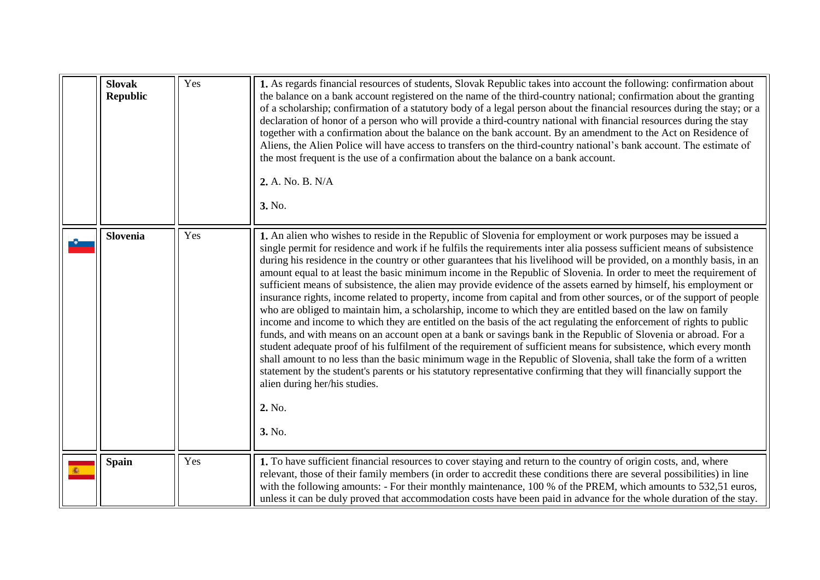<span id="page-14-2"></span><span id="page-14-1"></span><span id="page-14-0"></span>

| <b>Slovak</b><br><b>Republic</b> | Yes | 1. As regards financial resources of students, Slovak Republic takes into account the following: confirmation about<br>the balance on a bank account registered on the name of the third-country national; confirmation about the granting<br>of a scholarship; confirmation of a statutory body of a legal person about the financial resources during the stay; or a<br>declaration of honor of a person who will provide a third-country national with financial resources during the stay<br>together with a confirmation about the balance on the bank account. By an amendment to the Act on Residence of<br>Aliens, the Alien Police will have access to transfers on the third-country national's bank account. The estimate of<br>the most frequent is the use of a confirmation about the balance on a bank account.<br>2. A. No. B. N/A<br>3. No.                                                                                                                                                                                                                                                                                                                                                                                                                                                                                                                                                                                                                                                             |
|----------------------------------|-----|--------------------------------------------------------------------------------------------------------------------------------------------------------------------------------------------------------------------------------------------------------------------------------------------------------------------------------------------------------------------------------------------------------------------------------------------------------------------------------------------------------------------------------------------------------------------------------------------------------------------------------------------------------------------------------------------------------------------------------------------------------------------------------------------------------------------------------------------------------------------------------------------------------------------------------------------------------------------------------------------------------------------------------------------------------------------------------------------------------------------------------------------------------------------------------------------------------------------------------------------------------------------------------------------------------------------------------------------------------------------------------------------------------------------------------------------------------------------------------------------------------------------------|
| <b>Slovenia</b>                  | Yes | 1. An alien who wishes to reside in the Republic of Slovenia for employment or work purposes may be issued a<br>single permit for residence and work if he fulfils the requirements inter alia possess sufficient means of subsistence<br>during his residence in the country or other guarantees that his livelihood will be provided, on a monthly basis, in an<br>amount equal to at least the basic minimum income in the Republic of Slovenia. In order to meet the requirement of<br>sufficient means of subsistence, the alien may provide evidence of the assets earned by himself, his employment or<br>insurance rights, income related to property, income from capital and from other sources, or of the support of people<br>who are obliged to maintain him, a scholarship, income to which they are entitled based on the law on family<br>income and income to which they are entitled on the basis of the act regulating the enforcement of rights to public<br>funds, and with means on an account open at a bank or savings bank in the Republic of Slovenia or abroad. For a<br>student adequate proof of his fulfilment of the requirement of sufficient means for subsistence, which every month<br>shall amount to no less than the basic minimum wage in the Republic of Slovenia, shall take the form of a written<br>statement by the student's parents or his statutory representative confirming that they will financially support the<br>alien during her/his studies.<br>2. No.<br>3. No. |
| <b>Spain</b>                     | Yes | 1. To have sufficient financial resources to cover staying and return to the country of origin costs, and, where<br>relevant, those of their family members (in order to accredit these conditions there are several possibilities) in line<br>with the following amounts: - For their monthly maintenance, 100 % of the PREM, which amounts to 532,51 euros,<br>unless it can be duly proved that accommodation costs have been paid in advance for the whole duration of the stay.                                                                                                                                                                                                                                                                                                                                                                                                                                                                                                                                                                                                                                                                                                                                                                                                                                                                                                                                                                                                                                     |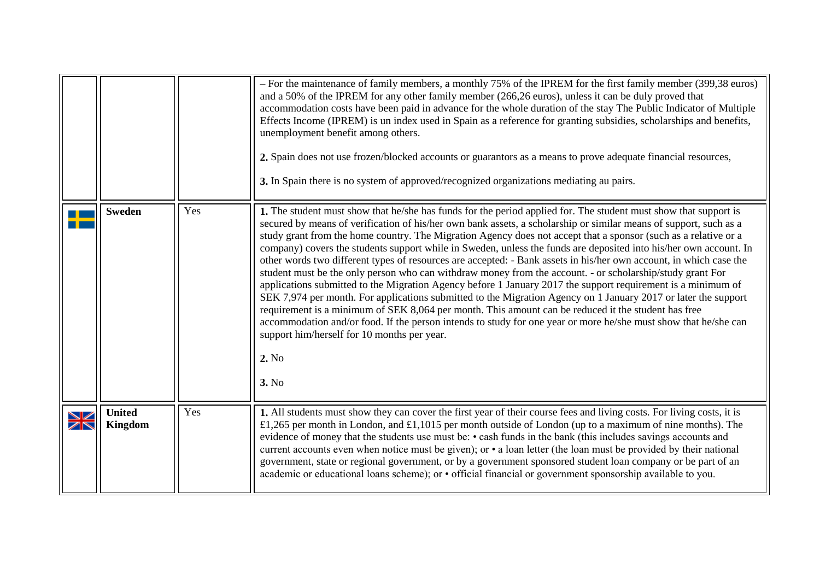<span id="page-15-1"></span><span id="page-15-0"></span>

|             |                                 |     | - For the maintenance of family members, a monthly 75% of the IPREM for the first family member (399,38 euros)<br>and a 50% of the IPREM for any other family member (266,26 euros), unless it can be duly proved that<br>accommodation costs have been paid in advance for the whole duration of the stay The Public Indicator of Multiple<br>Effects Income (IPREM) is un index used in Spain as a reference for granting subsidies, scholarships and benefits,<br>unemployment benefit among others.<br>2. Spain does not use frozen/blocked accounts or guarantors as a means to prove adequate financial resources,<br>3. In Spain there is no system of approved/recognized organizations mediating au pairs.                                                                                                                                                                                                                                                                                                                                                                                                                                                                                                                           |
|-------------|---------------------------------|-----|-----------------------------------------------------------------------------------------------------------------------------------------------------------------------------------------------------------------------------------------------------------------------------------------------------------------------------------------------------------------------------------------------------------------------------------------------------------------------------------------------------------------------------------------------------------------------------------------------------------------------------------------------------------------------------------------------------------------------------------------------------------------------------------------------------------------------------------------------------------------------------------------------------------------------------------------------------------------------------------------------------------------------------------------------------------------------------------------------------------------------------------------------------------------------------------------------------------------------------------------------|
|             | <b>Sweden</b>                   | Yes | 1. The student must show that he/she has funds for the period applied for. The student must show that support is<br>secured by means of verification of his/her own bank assets, a scholarship or similar means of support, such as a<br>study grant from the home country. The Migration Agency does not accept that a sponsor (such as a relative or a<br>company) covers the students support while in Sweden, unless the funds are deposited into his/her own account. In<br>other words two different types of resources are accepted: - Bank assets in his/her own account, in which case the<br>student must be the only person who can withdraw money from the account. - or scholarship/study grant For<br>applications submitted to the Migration Agency before 1 January 2017 the support requirement is a minimum of<br>SEK 7,974 per month. For applications submitted to the Migration Agency on 1 January 2017 or later the support<br>requirement is a minimum of SEK 8,064 per month. This amount can be reduced it the student has free<br>accommodation and/or food. If the person intends to study for one year or more he/she must show that he/she can<br>support him/herself for 10 months per year.<br>2. No<br>3. No |
| $\geqslant$ | <b>United</b><br><b>Kingdom</b> | Yes | 1. All students must show they can cover the first year of their course fees and living costs. For living costs, it is<br>£1,265 per month in London, and £1,1015 per month outside of London (up to a maximum of nine months). The<br>evidence of money that the students use must be: • cash funds in the bank (this includes savings accounts and<br>current accounts even when notice must be given); or • a loan letter (the loan must be provided by their national<br>government, state or regional government, or by a government sponsored student loan company or be part of an<br>academic or educational loans scheme); or • official financial or government sponsorship available to you.                                                                                                                                                                                                                                                                                                                                                                                                                                                                                                                                       |